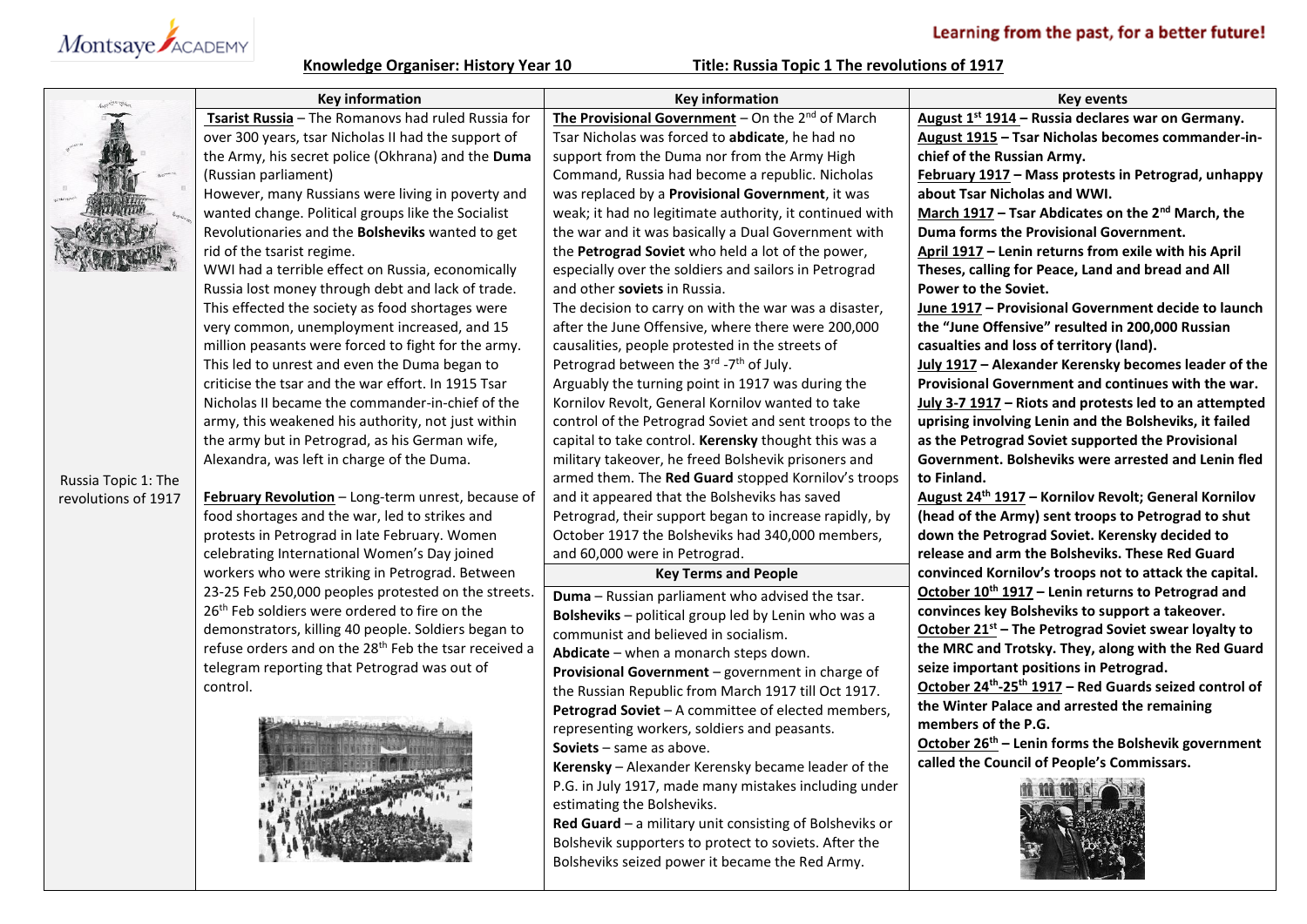## Learning from the past, for a better future!



**Knowledge Organiser: History Year 10 Title: Russia Topic 1 The revolutions of 1917**

|                     | <b>Key information</b>                                            | <b>Key information</b>                                          | <b>Key events</b>                                                |
|---------------------|-------------------------------------------------------------------|-----------------------------------------------------------------|------------------------------------------------------------------|
|                     | Tsarist Russia - The Romanovs had ruled Russia for                | The Provisional Government – On the $2^{nd}$ of March           | August 1 <sup>st</sup> 1914 - Russia declares war on Germany.    |
|                     | over 300 years, tsar Nicholas II had the support of               | Tsar Nicholas was forced to abdicate, he had no                 | August 1915 - Tsar Nicholas becomes commander-in-                |
|                     | the Army, his secret police (Okhrana) and the Duma                | support from the Duma nor from the Army High                    | chief of the Russian Army.                                       |
|                     | (Russian parliament)                                              | Command, Russia had become a republic. Nicholas                 | February 1917 - Mass protests in Petrograd, unhappy              |
|                     | However, many Russians were living in poverty and                 | was replaced by a Provisional Government, it was                | about Tsar Nicholas and WWI.                                     |
|                     | wanted change. Political groups like the Socialist                | weak; it had no legitimate authority, it continued with         | March 1917 - Tsar Abdicates on the 2 <sup>nd</sup> March, the    |
|                     | Revolutionaries and the Bolsheviks wanted to get                  | the war and it was basically a Dual Government with             | Duma forms the Provisional Government.                           |
|                     | rid of the tsarist regime.                                        | the Petrograd Soviet who held a lot of the power,               | April 1917 - Lenin returns from exile with his April             |
|                     | WWI had a terrible effect on Russia, economically                 | especially over the soldiers and sailors in Petrograd           | Theses, calling for Peace, Land and bread and All                |
|                     | Russia lost money through debt and lack of trade.                 | and other soviets in Russia.                                    | <b>Power to the Soviet.</b>                                      |
|                     | This effected the society as food shortages were                  | The decision to carry on with the war was a disaster,           | June 1917 - Provisional Government decide to launch              |
|                     | very common, unemployment increased, and 15                       | after the June Offensive, where there were 200,000              | the "June Offensive" resulted in 200,000 Russian                 |
|                     | million peasants were forced to fight for the army.               | causalities, people protested in the streets of                 | casualties and loss of territory (land).                         |
|                     | This led to unrest and even the Duma began to                     | Petrograd between the 3 <sup>rd</sup> -7 <sup>th</sup> of July. | July 1917 - Alexander Kerensky becomes leader of the             |
|                     | criticise the tsar and the war effort. In 1915 Tsar               | Arguably the turning point in 1917 was during the               | Provisional Government and continues with the war.               |
|                     | Nicholas II became the commander-in-chief of the                  | Kornilov Revolt, General Kornilov wanted to take                | July 3-7 1917 - Riots and protests led to an attempted           |
|                     | army, this weakened his authority, not just within                | control of the Petrograd Soviet and sent troops to the          | uprising involving Lenin and the Bolsheviks, it failed           |
|                     | the army but in Petrograd, as his German wife,                    | capital to take control. Kerensky thought this was a            | as the Petrograd Soviet supported the Provisional                |
|                     | Alexandra, was left in charge of the Duma.                        | military takeover, he freed Bolshevik prisoners and             | Government. Bolsheviks were arrested and Lenin fled              |
| Russia Topic 1: The |                                                                   | armed them. The Red Guard stopped Kornilov's troops             | to Finland.                                                      |
| revolutions of 1917 | February Revolution - Long-term unrest, because of                | and it appeared that the Bolsheviks has saved                   | August 24 <sup>th</sup> 1917 - Kornilov Revolt; General Kornilov |
|                     | food shortages and the war, led to strikes and                    | Petrograd, their support began to increase rapidly, by          | (head of the Army) sent troops to Petrograd to shut              |
|                     | protests in Petrograd in late February. Women                     | October 1917 the Bolsheviks had 340,000 members,                | down the Petrograd Soviet. Kerensky decided to                   |
|                     | celebrating International Women's Day joined                      | and 60,000 were in Petrograd.                                   | release and arm the Bolsheviks. These Red Guard                  |
|                     | workers who were striking in Petrograd. Between                   | <b>Key Terms and People</b>                                     | convinced Kornilov's troops not to attack the capital.           |
|                     | 23-25 Feb 250,000 peoples protested on the streets.               | Duma - Russian parliament who advised the tsar.                 | October 10 <sup>th</sup> 1917 - Lenin returns to Petrograd and   |
|                     | 26 <sup>th</sup> Feb soldiers were ordered to fire on the         | Bolsheviks - political group led by Lenin who was a             | convinces key Bolsheviks to support a takeover.                  |
|                     | demonstrators, killing 40 people. Soldiers began to               | communist and believed in socialism.                            | October $21^{st}$ – The Petrograd Soviet swear loyalty to        |
|                     | refuse orders and on the 28 <sup>th</sup> Feb the tsar received a | Abdicate - when a monarch steps down.                           | the MRC and Trotsky. They, along with the Red Guard              |
|                     | telegram reporting that Petrograd was out of                      | Provisional Government - government in charge of                | seize important positions in Petrograd.                          |
|                     | control.                                                          | the Russian Republic from March 1917 till Oct 1917.             | October 24th-25th 1917 - Red Guards seized control of            |
|                     |                                                                   | Petrograd Soviet - A committee of elected members,              | the Winter Palace and arrested the remaining                     |
|                     |                                                                   | representing workers, soldiers and peasants.                    | members of the P.G.                                              |
|                     |                                                                   | <b>Soviets</b> $-$ same as above.                               | October 26 <sup>th</sup> – Lenin forms the Bolshevik government  |
|                     |                                                                   | Kerensky - Alexander Kerensky became leader of the              | called the Council of People's Commissars.                       |
|                     |                                                                   | P.G. in July 1917, made many mistakes including under           |                                                                  |
|                     |                                                                   | estimating the Bolsheviks.                                      |                                                                  |
|                     |                                                                   | Red Guard - a military unit consisting of Bolsheviks or         |                                                                  |
|                     |                                                                   | Bolshevik supporters to protect to soviets. After the           |                                                                  |
|                     |                                                                   | Bolsheviks seized power it became the Red Army.                 |                                                                  |